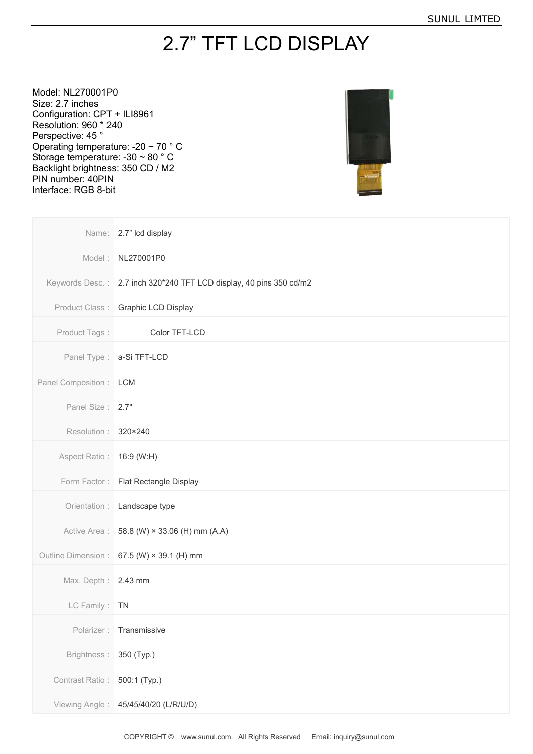## 2.7" TFT LCD DISPLAY

Model: NL270001P0 Size: 2.7 inches Configuration: CPT + ILI8961 Resolution: 960 \* 240 Perspective: 45 ° Operating temperature: -20 ~ 70 ° C Storage temperature: -30 ~ 80 ° C Backlight brightness: 350 CD / M2 PIN number: 40PIN Interface: RGB 8-bit



| Name:                     | 2.7" Icd display                                    |
|---------------------------|-----------------------------------------------------|
| Model:                    | NL270001P0                                          |
| Keywords Desc.:           | 2.7 inch 320*240 TFT LCD display, 40 pins 350 cd/m2 |
| Product Class:            | Graphic LCD Display                                 |
| Product Tags:             | Color TFT-LCD                                       |
| Panel Type:               | a-Si TFT-LCD                                        |
| Panel Composition :   LCM |                                                     |
| Panel Size:               | 2.7"                                                |
| Resolution :              | 320×240                                             |
| Aspect Ratio:             | 16:9 (W:H)                                          |
| Form Factor:              | Flat Rectangle Display                              |
| Orientation :             | Landscape type                                      |
| Active Area :             | 58.8 (W) × 33.06 (H) mm (A.A)                       |
| Outline Dimension :       | 67.5 (W) $\times$ 39.1 (H) mm                       |
| Max. Depth :              | 2.43 mm                                             |
| LC Family:                | <b>TN</b>                                           |
| Polarizer:                | Transmissive                                        |
| Brightness:               | 350 (Typ.)                                          |
| Contrast Ratio:           | 500:1 (Typ.)                                        |
| Viewing Angle:            | 45/45/40/20 (L/R/U/D)                               |